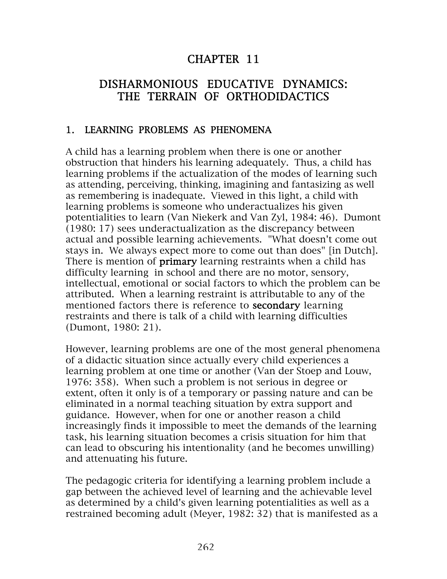#### CHAPTER 11

#### DISHARMONIOUS EDUCATIVE DYNAMICS: THE TERRAIN OF ORTHODIDACTICS

#### 1. LEARNING PROBLEMS AS PHENOMENA

A child has a learning problem when there is one or another obstruction that hinders his learning adequately. Thus, a child has learning problems if the actualization of the modes of learning such as attending, perceiving, thinking, imagining and fantasizing as well as remembering is inadequate. Viewed in this light, a child with learning problems is someone who underactualizes his given potentialities to learn (Van Niekerk and Van Zyl, 1984: 46). Dumont (1980: 17) sees underactualization as the discrepancy between actual and possible learning achievements. "What doesn't come out stays in. We always expect more to come out than does" [in Dutch]. There is mention of **primary** learning restraints when a child has difficulty learning in school and there are no motor, sensory, intellectual, emotional or social factors to which the problem can be attributed. When a learning restraint is attributable to any of the mentioned factors there is reference to **secondary** learning restraints and there is talk of a child with learning difficulties (Dumont, 1980: 21).

However, learning problems are one of the most general phenomena of a didactic situation since actually every child experiences a learning problem at one time or another (Van der Stoep and Louw, 1976: 358). When such a problem is not serious in degree or extent, often it only is of a temporary or passing nature and can be eliminated in a normal teaching situation by extra support and guidance. However, when for one or another reason a child increasingly finds it impossible to meet the demands of the learning task, his learning situation becomes a crisis situation for him that can lead to obscuring his intentionality (and he becomes unwilling) and attenuating his future.

The pedagogic criteria for identifying a learning problem include a gap between the achieved level of learning and the achievable level as determined by a child's given learning potentialities as well as a restrained becoming adult (Meyer, 1982: 32) that is manifested as a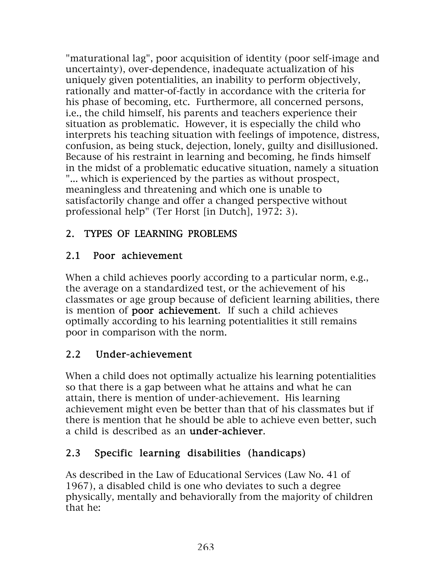"maturational lag", poor acquisition of identity (poor self-image and uncertainty), over-dependence, inadequate actualization of his uniquely given potentialities, an inability to perform objectively, rationally and matter-of-factly in accordance with the criteria for his phase of becoming, etc. Furthermore, all concerned persons, i.e., the child himself, his parents and teachers experience their situation as problematic. However, it is especially the child who interprets his teaching situation with feelings of impotence, distress, confusion, as being stuck, dejection, lonely, guilty and disillusioned. Because of his restraint in learning and becoming, he finds himself in the midst of a problematic educative situation, namely a situation "... which is experienced by the parties as without prospect, meaningless and threatening and which one is unable to satisfactorily change and offer a changed perspective without professional help" (Ter Horst [in Dutch], 1972: 3).

## 2. TYPES OF LEARNING PROBLEMS

## 2.1 Poor achievement

When a child achieves poorly according to a particular norm, e.g., the average on a standardized test, or the achievement of his classmates or age group because of deficient learning abilities, there is mention of poor achievement. If such a child achieves optimally according to his learning potentialities it still remains poor in comparison with the norm.

## 2.2 Under-achievement

When a child does not optimally actualize his learning potentialities so that there is a gap between what he attains and what he can attain, there is mention of under-achievement. His learning achievement might even be better than that of his classmates but if there is mention that he should be able to achieve even better, such a child is described as an under-achiever.

## 2.3 Specific learning disabilities (handicaps)

As described in the Law of Educational Services (Law No. 41 of 1967), a disabled child is one who deviates to such a degree physically, mentally and behaviorally from the majority of children that he: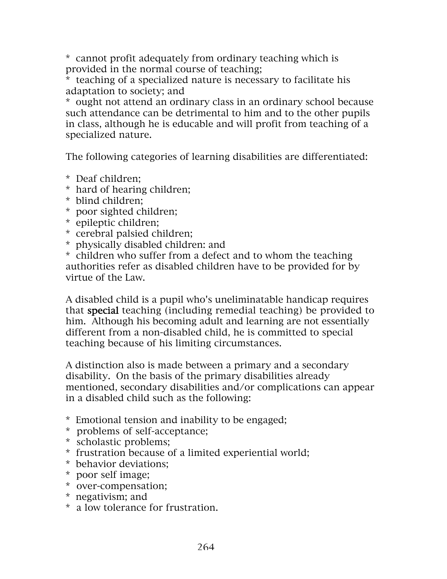\* cannot profit adequately from ordinary teaching which is provided in the normal course of teaching;

\* teaching of a specialized nature is necessary to facilitate his adaptation to society; and

\* ought not attend an ordinary class in an ordinary school because such attendance can be detrimental to him and to the other pupils in class, although he is educable and will profit from teaching of a specialized nature.

The following categories of learning disabilities are differentiated:

- \* Deaf children;
- \* hard of hearing children;
- \* blind children;
- \* poor sighted children;
- \* epileptic children;
- \* cerebral palsied children;
- \* physically disabled children: and

\* children who suffer from a defect and to whom the teaching authorities refer as disabled children have to be provided for by virtue of the Law.

A disabled child is a pupil who's uneliminatable handicap requires that special teaching (including remedial teaching) be provided to him. Although his becoming adult and learning are not essentially different from a non-disabled child, he is committed to special teaching because of his limiting circumstances.

A distinction also is made between a primary and a secondary disability. On the basis of the primary disabilities already mentioned, secondary disabilities and/or complications can appear in a disabled child such as the following:

- \* Emotional tension and inability to be engaged;
- \* problems of self-acceptance;
- \* scholastic problems;
- \* frustration because of a limited experiential world;
- \* behavior deviations;
- \* poor self image;
- \* over-compensation;
- \* negativism; and
- \* a low tolerance for frustration.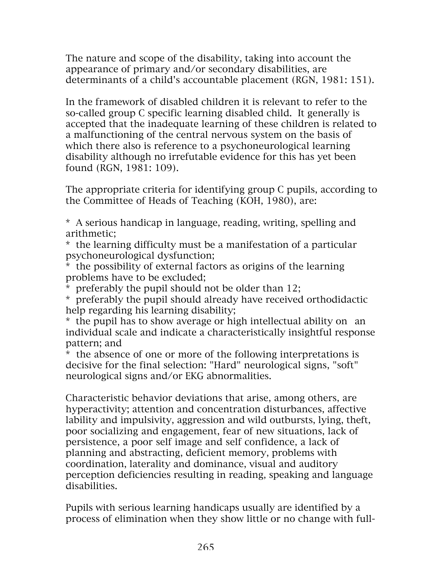The nature and scope of the disability, taking into account the appearance of primary and/or secondary disabilities, are determinants of a child's accountable placement (RGN, 1981: 151).

In the framework of disabled children it is relevant to refer to the so-called group C specific learning disabled child. It generally is accepted that the inadequate learning of these children is related to a malfunctioning of the central nervous system on the basis of which there also is reference to a psychoneurological learning disability although no irrefutable evidence for this has yet been found (RGN, 1981: 109).

The appropriate criteria for identifying group C pupils, according to the Committee of Heads of Teaching (KOH, 1980), are:

\* A serious handicap in language, reading, writing, spelling and arithmetic;

\* the learning difficulty must be a manifestation of a particular psychoneurological dysfunction;

\* the possibility of external factors as origins of the learning problems have to be excluded;

\* preferably the pupil should not be older than 12;

\* preferably the pupil should already have received orthodidactic help regarding his learning disability;

\* the pupil has to show average or high intellectual ability on an individual scale and indicate a characteristically insightful response pattern; and

\* the absence of one or more of the following interpretations is decisive for the final selection: "Hard" neurological signs, "soft" neurological signs and/or EKG abnormalities.

Characteristic behavior deviations that arise, among others, are hyperactivity; attention and concentration disturbances, affective lability and impulsivity, aggression and wild outbursts, lying, theft, poor socializing and engagement, fear of new situations, lack of persistence, a poor self image and self confidence, a lack of planning and abstracting, deficient memory, problems with coordination, laterality and dominance, visual and auditory perception deficiencies resulting in reading, speaking and language disabilities.

Pupils with serious learning handicaps usually are identified by a process of elimination when they show little or no change with full-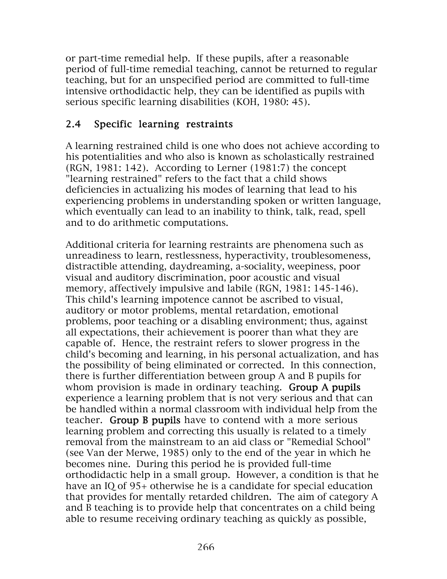or part-time remedial help. If these pupils, after a reasonable period of full-time remedial teaching, cannot be returned to regular teaching, but for an unspecified period are committed to full-time intensive orthodidactic help, they can be identified as pupils with serious specific learning disabilities (KOH, 1980: 45).

#### 2.4 Specific learning restraints

A learning restrained child is one who does not achieve according to his potentialities and who also is known as scholastically restrained (RGN, 1981: 142). According to Lerner (1981:7) the concept "learning restrained" refers to the fact that a child shows deficiencies in actualizing his modes of learning that lead to his experiencing problems in understanding spoken or written language, which eventually can lead to an inability to think, talk, read, spell and to do arithmetic computations.

Additional criteria for learning restraints are phenomena such as unreadiness to learn, restlessness, hyperactivity, troublesomeness, distractible attending, daydreaming, a-sociality, weepiness, poor visual and auditory discrimination, poor acoustic and visual memory, affectively impulsive and labile (RGN, 1981: 145-146). This child's learning impotence cannot be ascribed to visual, auditory or motor problems, mental retardation, emotional problems, poor teaching or a disabling environment; thus, against all expectations, their achievement is poorer than what they are capable of. Hence, the restraint refers to slower progress in the child's becoming and learning, in his personal actualization, and has the possibility of being eliminated or corrected. In this connection, there is further differentiation between group A and B pupils for whom provision is made in ordinary teaching. Group A pupils experience a learning problem that is not very serious and that can be handled within a normal classroom with individual help from the teacher. Group B pupils have to contend with a more serious learning problem and correcting this usually is related to a timely removal from the mainstream to an aid class or "Remedial School" (see Van der Merwe, 1985) only to the end of the year in which he becomes nine. During this period he is provided full-time orthodidactic help in a small group. However, a condition is that he have an IQ of 95+ otherwise he is a candidate for special education that provides for mentally retarded children. The aim of category A and B teaching is to provide help that concentrates on a child being able to resume receiving ordinary teaching as quickly as possible,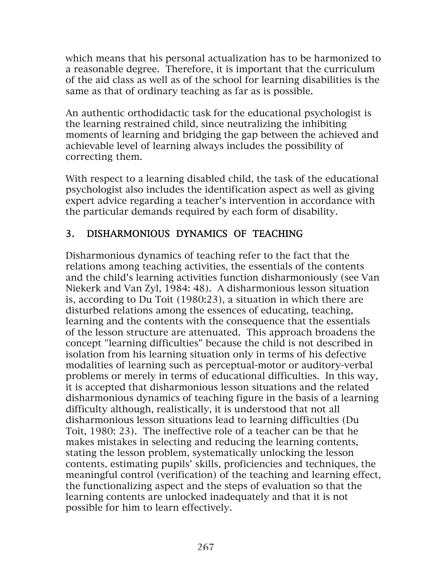which means that his personal actualization has to be harmonized to a reasonable degree. Therefore, it is important that the curriculum of the aid class as well as of the school for learning disabilities is the same as that of ordinary teaching as far as is possible.

An authentic orthodidactic task for the educational psychologist is the learning restrained child, since neutralizing the inhibiting moments of learning and bridging the gap between the achieved and achievable level of learning always includes the possibility of correcting them.

With respect to a learning disabled child, the task of the educational psychologist also includes the identification aspect as well as giving expert advice regarding a teacher's intervention in accordance with the particular demands required by each form of disability.

## 3. DISHARMONIOUS DYNAMICS OF TEACHING

Disharmonious dynamics of teaching refer to the fact that the relations among teaching activities, the essentials of the contents and the child's learning activities function disharmoniously (see Van Niekerk and Van Zyl, 1984: 48). A disharmonious lesson situation is, according to Du Toit (1980:23), a situation in which there are disturbed relations among the essences of educating, teaching, learning and the contents with the consequence that the essentials of the lesson structure are attenuated. This approach broadens the concept "learning difficulties" because the child is not described in isolation from his learning situation only in terms of his defective modalities of learning such as perceptual-motor or auditory-verbal problems or merely in terms of educational difficulties. In this way, it is accepted that disharmonious lesson situations and the related disharmonious dynamics of teaching figure in the basis of a learning difficulty although, realistically, it is understood that not all disharmonious lesson situations lead to learning difficulties (Du Toit, 1980: 23). The ineffective role of a teacher can be that he makes mistakes in selecting and reducing the learning contents, stating the lesson problem, systematically unlocking the lesson contents, estimating pupils' skills, proficiencies and techniques, the meaningful control (verification) of the teaching and learning effect, the functionalizing aspect and the steps of evaluation so that the learning contents are unlocked inadequately and that it is not possible for him to learn effectively.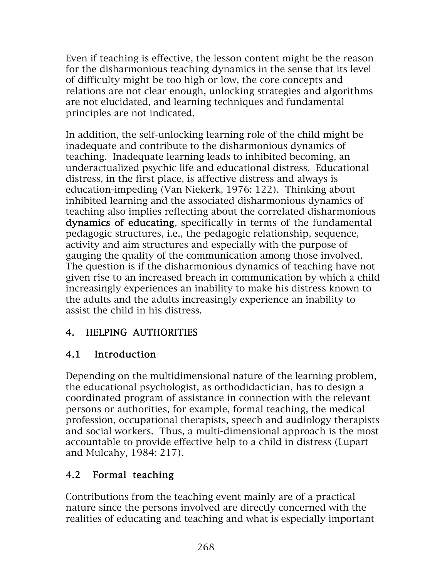Even if teaching is effective, the lesson content might be the reason for the disharmonious teaching dynamics in the sense that its level of difficulty might be too high or low, the core concepts and relations are not clear enough, unlocking strategies and algorithms are not elucidated, and learning techniques and fundamental principles are not indicated.

In addition, the self-unlocking learning role of the child might be inadequate and contribute to the disharmonious dynamics of teaching. Inadequate learning leads to inhibited becoming, an underactualized psychic life and educational distress. Educational distress, in the first place, is affective distress and always is education-impeding (Van Niekerk, 1976: 122). Thinking about inhibited learning and the associated disharmonious dynamics of teaching also implies reflecting about the correlated disharmonious dynamics of educating, specifically in terms of the fundamental pedagogic structures, i.e., the pedagogic relationship, sequence, activity and aim structures and especially with the purpose of gauging the quality of the communication among those involved. The question is if the disharmonious dynamics of teaching have not given rise to an increased breach in communication by which a child increasingly experiences an inability to make his distress known to the adults and the adults increasingly experience an inability to assist the child in his distress.

#### 4. HELPING AUTHORITIES

## 4.1 Introduction

Depending on the multidimensional nature of the learning problem, the educational psychologist, as orthodidactician, has to design a coordinated program of assistance in connection with the relevant persons or authorities, for example, formal teaching, the medical profession, occupational therapists, speech and audiology therapists and social workers. Thus, a multi-dimensional approach is the most accountable to provide effective help to a child in distress (Lupart and Mulcahy, 1984: 217).

## 4.2 Formal teaching

Contributions from the teaching event mainly are of a practical nature since the persons involved are directly concerned with the realities of educating and teaching and what is especially important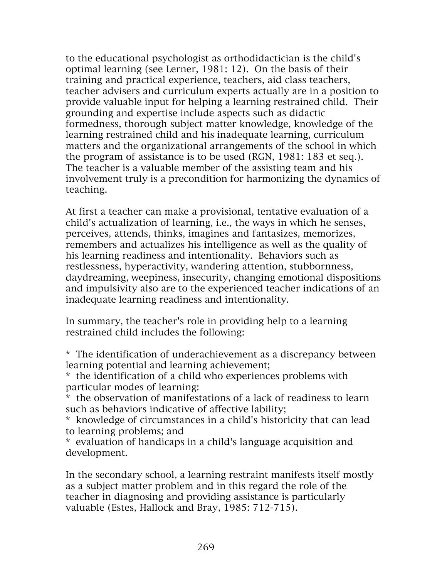to the educational psychologist as orthodidactician is the child's optimal learning (see Lerner, 1981: 12). On the basis of their training and practical experience, teachers, aid class teachers, teacher advisers and curriculum experts actually are in a position to provide valuable input for helping a learning restrained child. Their grounding and expertise include aspects such as didactic formedness, thorough subject matter knowledge, knowledge of the learning restrained child and his inadequate learning, curriculum matters and the organizational arrangements of the school in which the program of assistance is to be used (RGN, 1981: 183 et seq.). The teacher is a valuable member of the assisting team and his involvement truly is a precondition for harmonizing the dynamics of teaching.

At first a teacher can make a provisional, tentative evaluation of a child's actualization of learning, i.e., the ways in which he senses, perceives, attends, thinks, imagines and fantasizes, memorizes, remembers and actualizes his intelligence as well as the quality of his learning readiness and intentionality. Behaviors such as restlessness, hyperactivity, wandering attention, stubbornness, daydreaming, weepiness, insecurity, changing emotional dispositions and impulsivity also are to the experienced teacher indications of an inadequate learning readiness and intentionality.

In summary, the teacher's role in providing help to a learning restrained child includes the following:

\* The identification of underachievement as a discrepancy between learning potential and learning achievement;

\* the identification of a child who experiences problems with particular modes of learning:

\* the observation of manifestations of a lack of readiness to learn such as behaviors indicative of affective lability;

\* knowledge of circumstances in a child's historicity that can lead to learning problems; and

\* evaluation of handicaps in a child's language acquisition and development.

In the secondary school, a learning restraint manifests itself mostly as a subject matter problem and in this regard the role of the teacher in diagnosing and providing assistance is particularly valuable (Estes, Hallock and Bray, 1985: 712-715).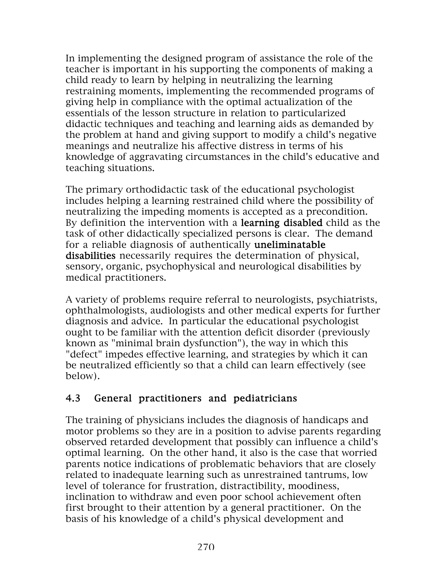In implementing the designed program of assistance the role of the teacher is important in his supporting the components of making a child ready to learn by helping in neutralizing the learning restraining moments, implementing the recommended programs of giving help in compliance with the optimal actualization of the essentials of the lesson structure in relation to particularized didactic techniques and teaching and learning aids as demanded by the problem at hand and giving support to modify a child's negative meanings and neutralize his affective distress in terms of his knowledge of aggravating circumstances in the child's educative and teaching situations.

The primary orthodidactic task of the educational psychologist includes helping a learning restrained child where the possibility of neutralizing the impeding moments is accepted as a precondition. By definition the intervention with a **learning disabled** child as the task of other didactically specialized persons is clear. The demand for a reliable diagnosis of authentically uneliminatable disabilities necessarily requires the determination of physical, sensory, organic, psychophysical and neurological disabilities by medical practitioners.

A variety of problems require referral to neurologists, psychiatrists, ophthalmologists, audiologists and other medical experts for further diagnosis and advice. In particular the educational psychologist ought to be familiar with the attention deficit disorder (previously known as "minimal brain dysfunction"), the way in which this "defect" impedes effective learning, and strategies by which it can be neutralized efficiently so that a child can learn effectively (see below).

#### 4.3 General practitioners and pediatricians

The training of physicians includes the diagnosis of handicaps and motor problems so they are in a position to advise parents regarding observed retarded development that possibly can influence a child's optimal learning. On the other hand, it also is the case that worried parents notice indications of problematic behaviors that are closely related to inadequate learning such as unrestrained tantrums, low level of tolerance for frustration, distractibility, moodiness, inclination to withdraw and even poor school achievement often first brought to their attention by a general practitioner. On the basis of his knowledge of a child's physical development and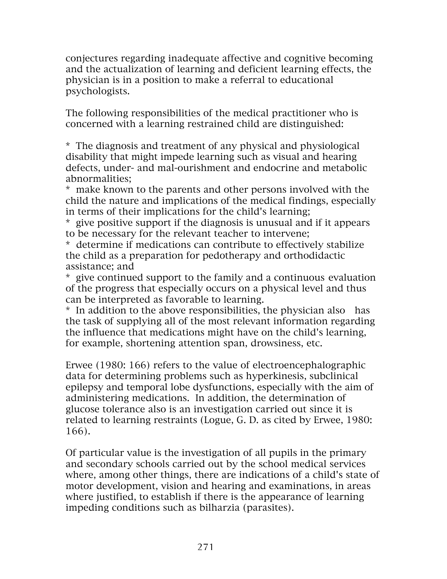conjectures regarding inadequate affective and cognitive becoming and the actualization of learning and deficient learning effects, the physician is in a position to make a referral to educational psychologists.

The following responsibilities of the medical practitioner who is concerned with a learning restrained child are distinguished:

\* The diagnosis and treatment of any physical and physiological disability that might impede learning such as visual and hearing defects, under- and mal-ourishment and endocrine and metabolic abnormalities;

\* make known to the parents and other persons involved with the child the nature and implications of the medical findings, especially in terms of their implications for the child's learning;

\* give positive support if the diagnosis is unusual and if it appears to be necessary for the relevant teacher to intervene;

\* determine if medications can contribute to effectively stabilize the child as a preparation for pedotherapy and orthodidactic assistance; and

\* give continued support to the family and a continuous evaluation of the progress that especially occurs on a physical level and thus can be interpreted as favorable to learning.

\* In addition to the above responsibilities, the physician also has the task of supplying all of the most relevant information regarding the influence that medications might have on the child's learning, for example, shortening attention span, drowsiness, etc.

Erwee (1980: 166) refers to the value of electroencephalographic data for determining problems such as hyperkinesis, subclinical epilepsy and temporal lobe dysfunctions, especially with the aim of administering medications. In addition, the determination of glucose tolerance also is an investigation carried out since it is related to learning restraints (Logue, G. D. as cited by Erwee, 1980: 166).

Of particular value is the investigation of all pupils in the primary and secondary schools carried out by the school medical services where, among other things, there are indications of a child's state of motor development, vision and hearing and examinations, in areas where justified, to establish if there is the appearance of learning impeding conditions such as bilharzia (parasites).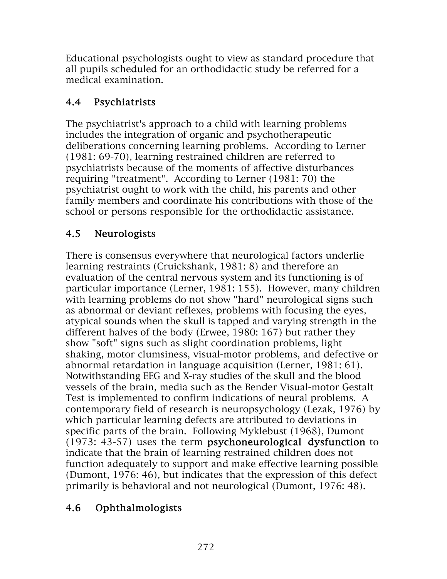Educational psychologists ought to view as standard procedure that all pupils scheduled for an orthodidactic study be referred for a medical examination.

## 4.4 Psychiatrists

The psychiatrist's approach to a child with learning problems includes the integration of organic and psychotherapeutic deliberations concerning learning problems. According to Lerner (1981: 69-70), learning restrained children are referred to psychiatrists because of the moments of affective disturbances requiring "treatment". According to Lerner (1981: 70) the psychiatrist ought to work with the child, his parents and other family members and coordinate his contributions with those of the school or persons responsible for the orthodidactic assistance.

# 4.5 Neurologists

There is consensus everywhere that neurological factors underlie learning restraints (Cruickshank, 1981: 8) and therefore an evaluation of the central nervous system and its functioning is of particular importance (Lerner, 1981: 155). However, many children with learning problems do not show "hard" neurological signs such as abnormal or deviant reflexes, problems with focusing the eyes, atypical sounds when the skull is tapped and varying strength in the different halves of the body (Erwee, 1980: 167) but rather they show "soft" signs such as slight coordination problems, light shaking, motor clumsiness, visual-motor problems, and defective or abnormal retardation in language acquisition (Lerner, 1981: 61). Notwithstanding EEG and X-ray studies of the skull and the blood vessels of the brain, media such as the Bender Visual-motor Gestalt Test is implemented to confirm indications of neural problems. A contemporary field of research is neuropsychology (Lezak, 1976) by which particular learning defects are attributed to deviations in specific parts of the brain. Following Myklebust (1968), Dumont (1973: 43-57) uses the term psychoneurological dysfunction to indicate that the brain of learning restrained children does not function adequately to support and make effective learning possible (Dumont, 1976: 46), but indicates that the expression of this defect primarily is behavioral and not neurological (Dumont, 1976: 48).

## 4.6 Ophthalmologists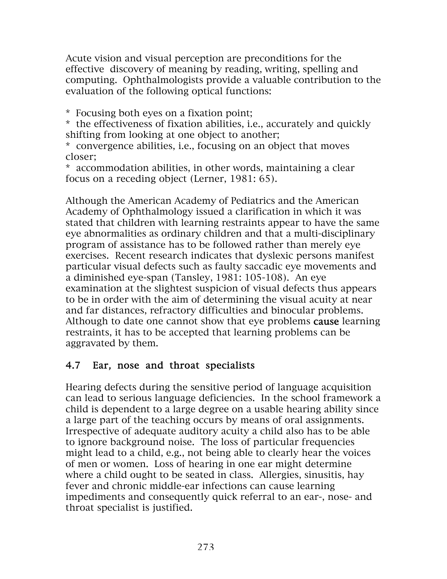Acute vision and visual perception are preconditions for the effective discovery of meaning by reading, writing, spelling and computing. Ophthalmologists provide a valuable contribution to the evaluation of the following optical functions:

\* Focusing both eyes on a fixation point;

\* the effectiveness of fixation abilities, i.e., accurately and quickly shifting from looking at one object to another;

\* convergence abilities, i.e., focusing on an object that moves closer;

\* accommodation abilities, in other words, maintaining a clear focus on a receding object (Lerner, 1981: 65).

Although the American Academy of Pediatrics and the American Academy of Ophthalmology issued a clarification in which it was stated that children with learning restraints appear to have the same eye abnormalities as ordinary children and that a multi-disciplinary program of assistance has to be followed rather than merely eye exercises. Recent research indicates that dyslexic persons manifest particular visual defects such as faulty saccadic eye movements and a diminished eye-span (Tansley, 1981: 105-108). An eye examination at the slightest suspicion of visual defects thus appears to be in order with the aim of determining the visual acuity at near and far distances, refractory difficulties and binocular problems. Although to date one cannot show that eye problems cause learning restraints, it has to be accepted that learning problems can be aggravated by them.

#### 4.7 Ear, nose and throat specialists

Hearing defects during the sensitive period of language acquisition can lead to serious language deficiencies. In the school framework a child is dependent to a large degree on a usable hearing ability since a large part of the teaching occurs by means of oral assignments. Irrespective of adequate auditory acuity a child also has to be able to ignore background noise. The loss of particular frequencies might lead to a child, e.g., not being able to clearly hear the voices of men or women. Loss of hearing in one ear might determine where a child ought to be seated in class. Allergies, sinusitis, hay fever and chronic middle-ear infections can cause learning impediments and consequently quick referral to an ear-, nose- and throat specialist is justified.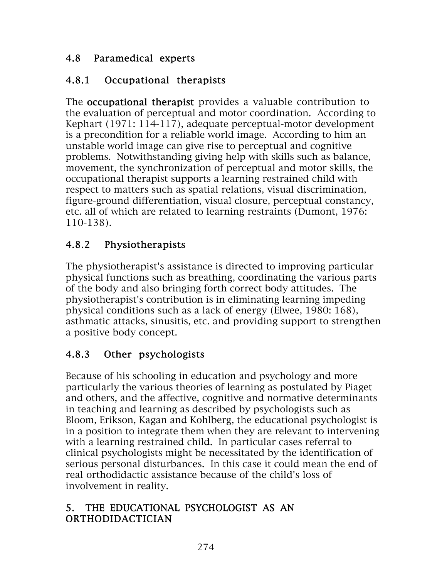#### 4.8 Paramedical experts

## 4.8.1 Occupational therapists

The **occupational therapist** provides a valuable contribution to the evaluation of perceptual and motor coordination. According to Kephart (1971: 114-117), adequate perceptual-motor development is a precondition for a reliable world image. According to him an unstable world image can give rise to perceptual and cognitive problems. Notwithstanding giving help with skills such as balance, movement, the synchronization of perceptual and motor skills, the occupational therapist supports a learning restrained child with respect to matters such as spatial relations, visual discrimination, figure-ground differentiation, visual closure, perceptual constancy, etc. all of which are related to learning restraints (Dumont, 1976: 110-138).

# 4.8.2 Physiotherapists

The physiotherapist's assistance is directed to improving particular physical functions such as breathing, coordinating the various parts of the body and also bringing forth correct body attitudes. The physiotherapist's contribution is in eliminating learning impeding physical conditions such as a lack of energy (Elwee, 1980: 168), asthmatic attacks, sinusitis, etc. and providing support to strengthen a positive body concept.

## 4.8.3 Other psychologists

Because of his schooling in education and psychology and more particularly the various theories of learning as postulated by Piaget and others, and the affective, cognitive and normative determinants in teaching and learning as described by psychologists such as Bloom, Erikson, Kagan and Kohlberg, the educational psychologist is in a position to integrate them when they are relevant to intervening with a learning restrained child. In particular cases referral to clinical psychologists might be necessitated by the identification of serious personal disturbances. In this case it could mean the end of real orthodidactic assistance because of the child's loss of involvement in reality.

#### 5. THE EDUCATIONAL PSYCHOLOGIST AS AN ORTHODIDACTICIAN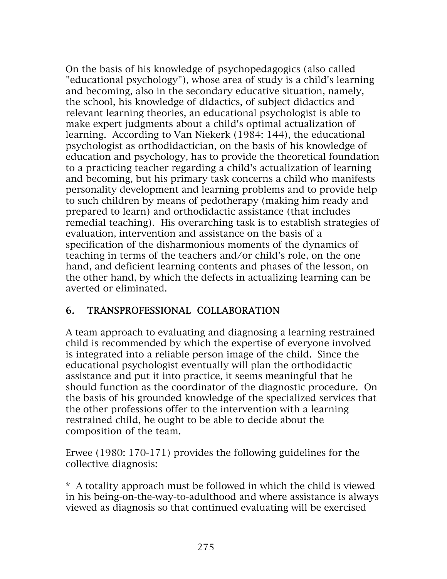On the basis of his knowledge of psychopedagogics (also called "educational psychology"), whose area of study is a child's learning and becoming, also in the secondary educative situation, namely, the school, his knowledge of didactics, of subject didactics and relevant learning theories, an educational psychologist is able to make expert judgments about a child's optimal actualization of learning. According to Van Niekerk (1984: 144), the educational psychologist as orthodidactician, on the basis of his knowledge of education and psychology, has to provide the theoretical foundation to a practicing teacher regarding a child's actualization of learning and becoming, but his primary task concerns a child who manifests personality development and learning problems and to provide help to such children by means of pedotherapy (making him ready and prepared to learn) and orthodidactic assistance (that includes remedial teaching). His overarching task is to establish strategies of evaluation, intervention and assistance on the basis of a specification of the disharmonious moments of the dynamics of teaching in terms of the teachers and/or child's role, on the one hand, and deficient learning contents and phases of the lesson, on the other hand, by which the defects in actualizing learning can be averted or eliminated.

#### 6. TRANSPROFESSIONAL COLLABORATION

A team approach to evaluating and diagnosing a learning restrained child is recommended by which the expertise of everyone involved is integrated into a reliable person image of the child. Since the educational psychologist eventually will plan the orthodidactic assistance and put it into practice, it seems meaningful that he should function as the coordinator of the diagnostic procedure. On the basis of his grounded knowledge of the specialized services that the other professions offer to the intervention with a learning restrained child, he ought to be able to decide about the composition of the team.

Erwee (1980: 170-171) provides the following guidelines for the collective diagnosis:

\* A totality approach must be followed in which the child is viewed in his being-on-the-way-to-adulthood and where assistance is always viewed as diagnosis so that continued evaluating will be exercised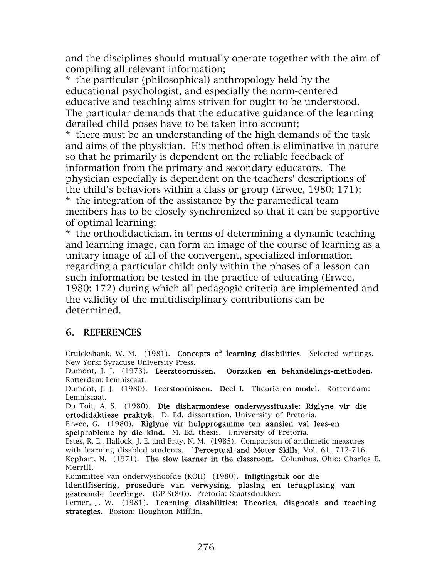and the disciplines should mutually operate together with the aim of compiling all relevant information;

\* the particular (philosophical) anthropology held by the educational psychologist, and especially the norm-centered educative and teaching aims striven for ought to be understood. The particular demands that the educative guidance of the learning derailed child poses have to be taken into account;

\* there must be an understanding of the high demands of the task and aims of the physician. His method often is eliminative in nature so that he primarily is dependent on the reliable feedback of information from the primary and secondary educators. The physician especially is dependent on the teachers' descriptions of the child's behaviors within a class or group (Erwee, 1980: 171); \* the integration of the assistance by the paramedical team members has to be closely synchronized so that it can be supportive of optimal learning;

\* the orthodidactician, in terms of determining a dynamic teaching and learning image, can form an image of the course of learning as a unitary image of all of the convergent, specialized information regarding a particular child: only within the phases of a lesson can such information be tested in the practice of educating (Erwee, 1980: 172) during which all pedagogic criteria are implemented and the validity of the multidisciplinary contributions can be determined.

#### 6. REFERENCES

Cruickshank, W. M. (1981). Concepts of learning disabilities. Selected writings. New York: Syracuse University Press.

Dumont, J. J. (1973). Leerstoornissen. Oorzaken en behandelings-methoden. Rotterdam: Lemniscaat.

Dumont, J. J. (1980). Leerstoornissen. Deel I. Theorie en model. Rotterdam: Lemniscaat.

Du Toit, A. S. (1980). Die disharmoniese onderwyssituasie: Riglyne vir die ortodidaktiese praktyk. D. Ed. dissertation. University of Pretoria.

Erwee, G. (1980). Riglyne vir hulpprogamme ten aansien val lees-en spelprobleme by die kind. M. Ed. thesis. University of Pretoria.

Estes, R. E., Hallock, J. E. and Bray, N. M. (1985). Comparison of arithmetic measures with learning disabled students. **`Perceptual and Motor Skills**, Vol.  $61$ , 712-716. Kephart, N. (1971). The slow learner in the classroom. Columbus, Ohio: Charles E. Merrill.

Kommittee van onderwyshoofde (KOH) (1980). Inligtingstuk oor die

identifisering, prosedure van verwysing, plasing en terugplasing van gestremde leerlinge. (GP-S(80)). Pretoria: Staatsdrukker.

Lerner, J. W. (1981). Learning disabilities: Theories, diagnosis and teaching strategies. Boston: Houghton Mifflin.